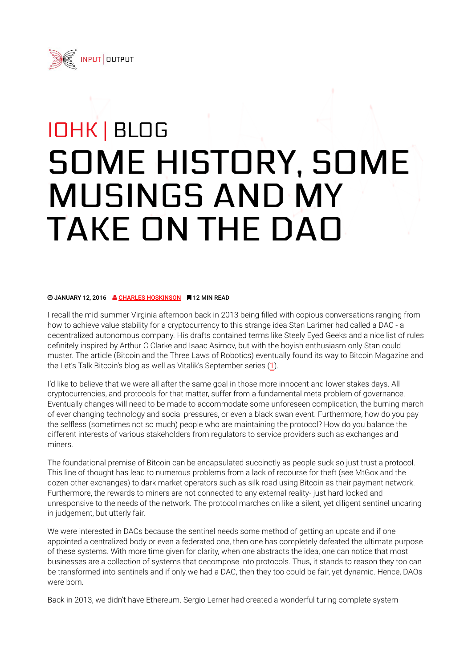

## IOHK | BLOG SOME HISTORY, SOME MUSINGS AND MY TAKE ON THE DAO

## **@ JANUARY 12, 2016 & CHARLES HOSKINSON # 12 MIN READ**

I recall the mid-summer Virginia afternoon back in 2013 being filled with copious conversations ranging from how to achieve value stability for a cryptocurrency to this strange idea Stan Larimer had called a DAC - a decentralized autonomous company. His drafts contained terms like Steely Eyed Geeks and a nice list of rules definitely inspired by Arthur C Clarke and Isaac Asimov, but with the boyish enthusiasm only Stan could muster. The article (Bitcoin and the Three Laws of Robotics) eventually found its way to Bitcoin Magazine and the Let's Talk Bitcoin's blog as well as Vitalik's September series (1).

I'd like to believe that we were all after the same goal in those more innocent and lower stakes days. All cryptocurrencies, and protocols for that matter, suffer from a fundamental meta problem of governance. Eventually changes will need to be made to accommodate some unforeseen complication, the burning march of ever changing technology and social pressures, or even a black swan event. Furthermore, how do you pay the selfless (sometimes not so much) people who are maintaining the protocol? How do you balance the different interests of various stakeholders from regulators to service providers such as exchanges and miners.

The foundational premise of Bitcoin can be encapsulated succinctly as people suck so just trust a protocol. This line of thought has lead to numerous problems from a lack of recourse for theft (see MtGox and the dozen other exchanges) to dark market operators such as silk road using Bitcoin as their payment network. Furthermore, the rewards to miners are not connected to any external reality- just hard locked and unresponsive to the needs of the network. The protocol marches on like a silent, yet diligent sentinel uncaring in judgement, but utterly fair.

We were interested in DACs because the sentinel needs some method of getting an update and if one appointed a centralized body or even a federated one, then one has completely defeated the ultimate purpose of these systems. With more time given for clarity, when one abstracts the idea, one can notice that most businesses are a collection of systems that decompose into protocols. Thus, it stands to reason they too can be transformed into sentinels and if only we had a DAC, then they too could be fair, yet dynamic. Hence, DAOs were born.

Back in 2013, we didn't have Ethereum. Sergio Lerner had created a wonderful turing complete system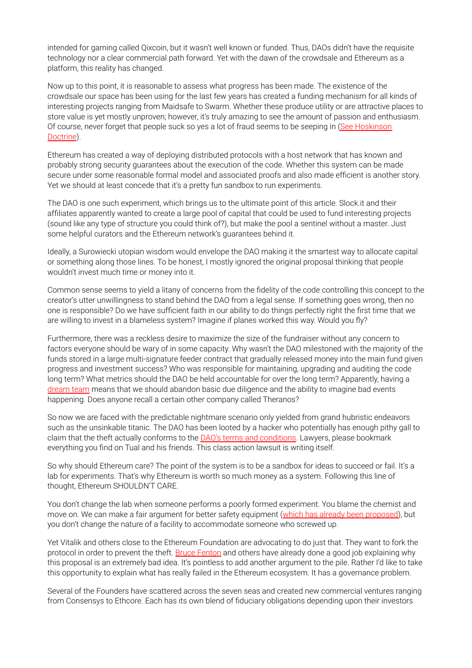intended for gaming called Qixcoin, but it wasn't well known or funded. Thus, DAOs didn't have the requisite technology nor a clear commercial path forward. Yet with the dawn of the crowdsale and Ethereum as a platform, this reality has changed.

Now up to this point, it is reasonable to assess what progress has been made. The existence of the crowdsale our space has been using for the last few years has created a funding mechanism for all kinds of interesting projects ranging from Maidsafe to Swarm. Whether these produce utility or are attractive places to store value is yet mostly unproven; however, it's truly amazing to see the amount of passion and enthusiasm. Of course, never forget that people suck so yes a lot of fraud seems to be seeping in (See Hoskinson Doctrine).

Ethereum has created a way of deploying distributed protocols with a host network that has known and probably strong security guarantees about the execution of the code. Whether this system can be made secure under some reasonable formal model and associated proofs and also made efficient is another story. Yet we should at least concede that it's a pretty fun sandbox to run experiments.

The DAO is one such experiment, which brings us to the ultimate point of this article. Slock.it and their affiliates apparently wanted to create a large pool of capital that could be used to fund interesting projects (sound like any type of structure you could think of?), but make the pool a sentinel without a master. Just some helpful curators and the Ethereum network's guarantees behind it.

Ideally, a Surowiecki utopian wisdom would envelope the DAO making it the smartest way to allocate capital or something along those lines. To be honest, I mostly ignored the original proposal thinking that people wouldn't invest much time or money into it.

Common sense seems to yield a litany of concerns from the fidelity of the code controlling this concept to the creator's utter unwillingness to stand behind the DAO from a legal sense. If something goes wrong, then no one is responsible? Do we have sufficient faith in our ability to do things perfectly right the first time that we are willing to invest in a blameless system? Imagine if planes worked this way. Would you fly?

Furthermore, there was a reckless desire to maximize the size of the fundraiser without any concern to factors everyone should be wary of in some capacity. Why wasn't the DAO milestoned with the majority of the funds stored in a large multi-signature feeder contract that gradually released money into the main fund given progress and investment success? Who was responsible for maintaining, upgrading and auditing the code long term? What metrics should the DAO be held accountable for over the long term? Apparently, having a dream team means that we should abandon basic due diligence and the ability to imagine bad events happening. Does anyone recall a certain other company called Theranos?

So now we are faced with the predictable nightmare scenario only yielded from grand hubristic endeavors such as the unsinkable titanic. The DAO has been looted by a hacker who potentially has enough pithy gall to claim that the theft actually conforms to the **DAO's terms and conditions**. Lawyers, please bookmark everything you find on Tual and his friends. This class action lawsuit is writing itself.

So why should Ethereum care? The point of the system is to be a sandbox for ideas to succeed or fail. It's a lab for experiments. That's why Ethereum is worth so much money as a system. Following this line of thought, Ethereum SHOULDN'T CARE.

You don't change the lab when someone performs a poorly formed experiment. You blame the chemist and move on. We can make a fair argument for better safety equipment (which has already been proposed), but you don't change the nature of a facility to accommodate someone who screwed up.

Yet Vitalik and others close to the Ethereum Foundation are advocating to do just that. They want to fork the protocol in order to prevent the theft. **Bruce Fenton** and others have already done a good job explaining why this proposal is an extremely bad idea. It's pointless to add another argument to the pile. Rather I'd like to take this opportunity to explain what has really failed in the Ethereum ecosystem. It has a governance problem.

Several of the Founders have scattered across the seven seas and created new commercial ventures ranging from Consensys to Ethcore. Each has its own blend of fiduciary obligations depending upon their investors